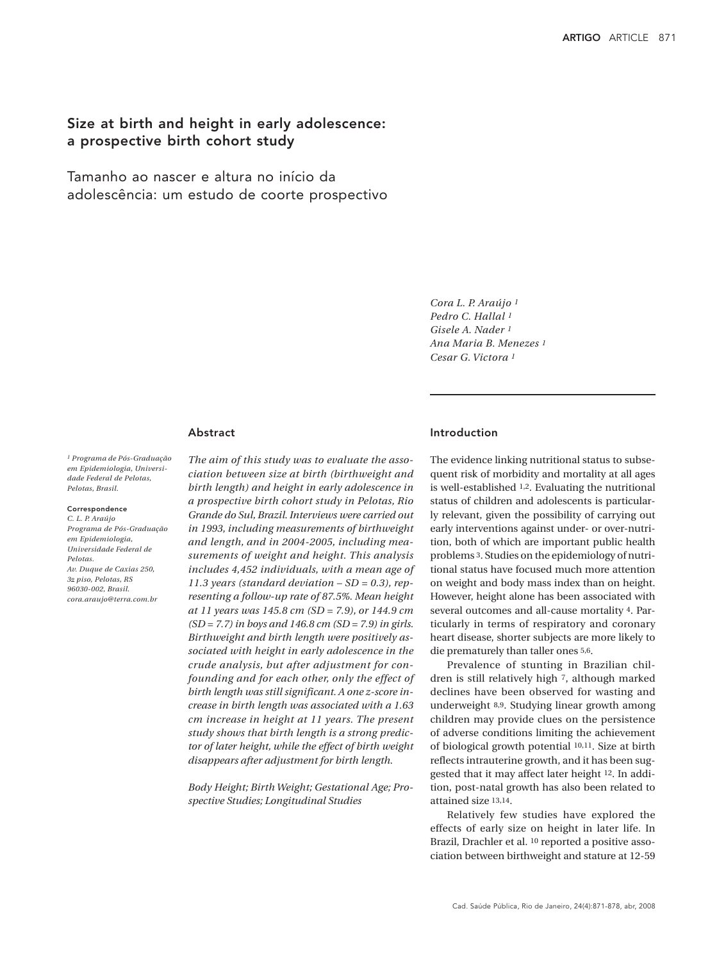# Size at birth and height in early adolescence: a prospective birth cohort study

Tamanho ao nascer e altura no início da adolescência: um estudo de coorte prospectivo

> *Cora L. P. Araújo 1 Pedro C. Hallal 1 Gisele A. Nader 1 Ana Maria B. Menezes 1 Cesar G. Victora 1*

### Abstract

*1 Programa de Pós-Graduação em Epidemiologia, Universidade Federal de Pelotas, Pelotas, Brasil.*

### Correspondence

*C. L. P. Araújo Programa de Pós-Graduação em Epidemiologia, Universidade Federal de Pelotas. Av. Duque de Caxias 250, 3o piso, Pelotas, RS 96030-002, Brasil. cora.araujo@terra.com.br*

*The aim of this study was to evaluate the association between size at birth (birthweight and birth length) and height in early adolescence in a prospective birth cohort study in Pelotas, Rio Grande do Sul, Brazil. Interviews were carried out in 1993, including measurements of birthweight and length, and in 2004-2005, including measurements of weight and height. This analysis includes 4,452 individuals, with a mean age of 11.3 years (standard deviation – SD = 0.3), representing a follow-up rate of 87.5%. Mean height at 11 years was 145.8 cm (SD = 7.9), or 144.9 cm (SD = 7.7) in boys and 146.8 cm (SD = 7.9) in girls. Birthweight and birth length were positively associated with height in early adolescence in the crude analysis, but after adjustment for confounding and for each other, only the effect of birth length was still significant. A one z-score increase in birth length was associated with a 1.63 cm increase in height at 11 years. The present study shows that birth length is a strong predictor of later height, while the effect of birth weight disappears after adjustment for birth length.*

*Body Height; Birth Weight; Gestational Age; Prospective Studies; Longitudinal Studies*

# Introduction

The evidence linking nutritional status to subsequent risk of morbidity and mortality at all ages is well-established 1,2. Evaluating the nutritional status of children and adolescents is particularly relevant, given the possibility of carrying out early interventions against under- or over-nutrition, both of which are important public health problems 3. Studies on the epidemiology of nutritional status have focused much more attention on weight and body mass index than on height. However, height alone has been associated with several outcomes and all-cause mortality 4. Particularly in terms of respiratory and coronary heart disease, shorter subjects are more likely to die prematurely than taller ones 5,6.

Prevalence of stunting in Brazilian children is still relatively high 7, although marked declines have been observed for wasting and underweight 8,9. Studying linear growth among children may provide clues on the persistence of adverse conditions limiting the achievement of biological growth potential 10,11. Size at birth reflects intrauterine growth, and it has been suggested that it may affect later height 12. In addition, post-natal growth has also been related to attained size 13,14.

Relatively few studies have explored the effects of early size on height in later life. In Brazil, Drachler et al. 10 reported a positive association between birthweight and stature at 12-59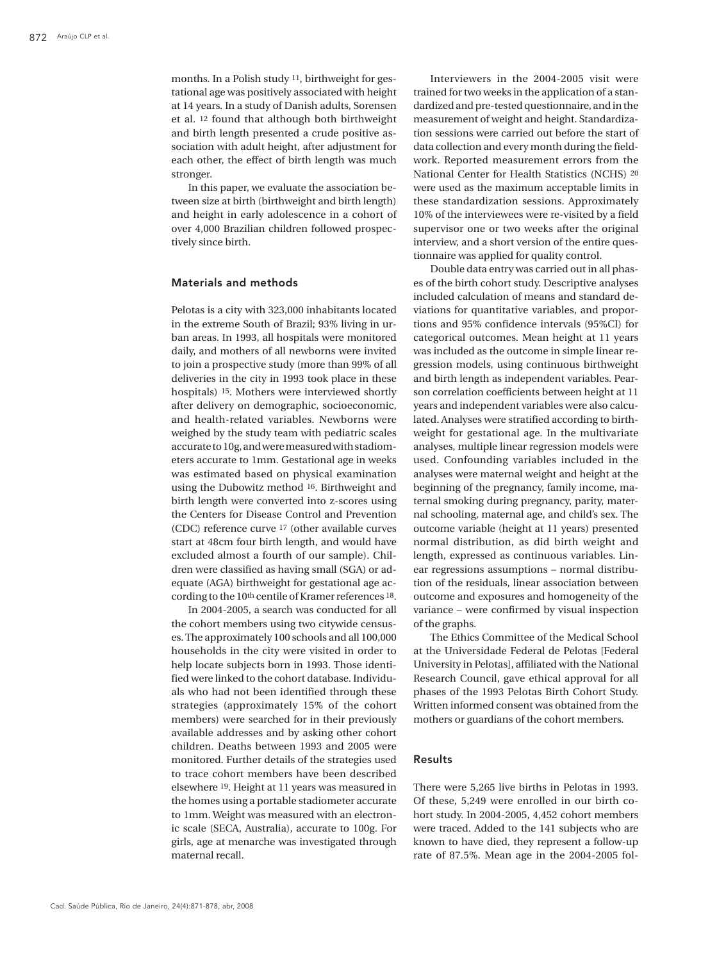months. In a Polish study 11, birthweight for gestational age was positively associated with height at 14 years. In a study of Danish adults, Sorensen et al. 12 found that although both birthweight and birth length presented a crude positive association with adult height, after adjustment for each other, the effect of birth length was much stronger.

In this paper, we evaluate the association between size at birth (birthweight and birth length) and height in early adolescence in a cohort of over 4,000 Brazilian children followed prospectively since birth.

### Materials and methods

Pelotas is a city with 323,000 inhabitants located in the extreme South of Brazil; 93% living in urban areas. In 1993, all hospitals were monitored daily, and mothers of all newborns were invited to join a prospective study (more than 99% of all deliveries in the city in 1993 took place in these hospitals) 15. Mothers were interviewed shortly after delivery on demographic, socioeconomic, and health-related variables. Newborns were weighed by the study team with pediatric scales accurate to 10g, and were measured with stadiometers accurate to 1mm. Gestational age in weeks was estimated based on physical examination using the Dubowitz method 16. Birthweight and birth length were converted into z-scores using the Centers for Disease Control and Prevention (CDC) reference curve 17 (other available curves start at 48cm four birth length, and would have excluded almost a fourth of our sample). Children were classified as having small (SGA) or adequate (AGA) birthweight for gestational age according to the 10th centile of Kramer references 18.

In 2004-2005, a search was conducted for all the cohort members using two citywide censuses. The approximately 100 schools and all 100,000 households in the city were visited in order to help locate subjects born in 1993. Those identified were linked to the cohort database. Individuals who had not been identified through these strategies (approximately 15% of the cohort members) were searched for in their previously available addresses and by asking other cohort children. Deaths between 1993 and 2005 were monitored. Further details of the strategies used to trace cohort members have been described elsewhere 19. Height at 11 years was measured in the homes using a portable stadiometer accurate to 1mm. Weight was measured with an electronic scale (SECA, Australia), accurate to 100g. For girls, age at menarche was investigated through maternal recall.

Interviewers in the 2004-2005 visit were trained for two weeks in the application of a standardized and pre-tested questionnaire, and in the measurement of weight and height. Standardization sessions were carried out before the start of data collection and every month during the fieldwork. Reported measurement errors from the National Center for Health Statistics (NCHS) 20 were used as the maximum acceptable limits in these standardization sessions. Approximately 10% of the interviewees were re-visited by a field supervisor one or two weeks after the original interview, and a short version of the entire questionnaire was applied for quality control.

Double data entry was carried out in all phases of the birth cohort study. Descriptive analyses included calculation of means and standard deviations for quantitative variables, and proportions and 95% confidence intervals (95%CI) for categorical outcomes. Mean height at 11 years was included as the outcome in simple linear regression models, using continuous birthweight and birth length as independent variables. Pearson correlation coefficients between height at 11 years and independent variables were also calculated. Analyses were stratified according to birthweight for gestational age. In the multivariate analyses, multiple linear regression models were used. Confounding variables included in the analyses were maternal weight and height at the beginning of the pregnancy, family income, maternal smoking during pregnancy, parity, maternal schooling, maternal age, and child's sex. The outcome variable (height at 11 years) presented normal distribution, as did birth weight and length, expressed as continuous variables. Linear regressions assumptions – normal distribution of the residuals, linear association between outcome and exposures and homogeneity of the variance – were confirmed by visual inspection of the graphs.

The Ethics Committee of the Medical School at the Universidade Federal de Pelotas [Federal University in Pelotas], affiliated with the National Research Council, gave ethical approval for all phases of the 1993 Pelotas Birth Cohort Study. Written informed consent was obtained from the mothers or guardians of the cohort members.

## Results

There were 5,265 live births in Pelotas in 1993. Of these, 5,249 were enrolled in our birth cohort study. In 2004-2005, 4,452 cohort members were traced. Added to the 141 subjects who are known to have died, they represent a follow-up rate of 87.5%. Mean age in the 2004-2005 fol-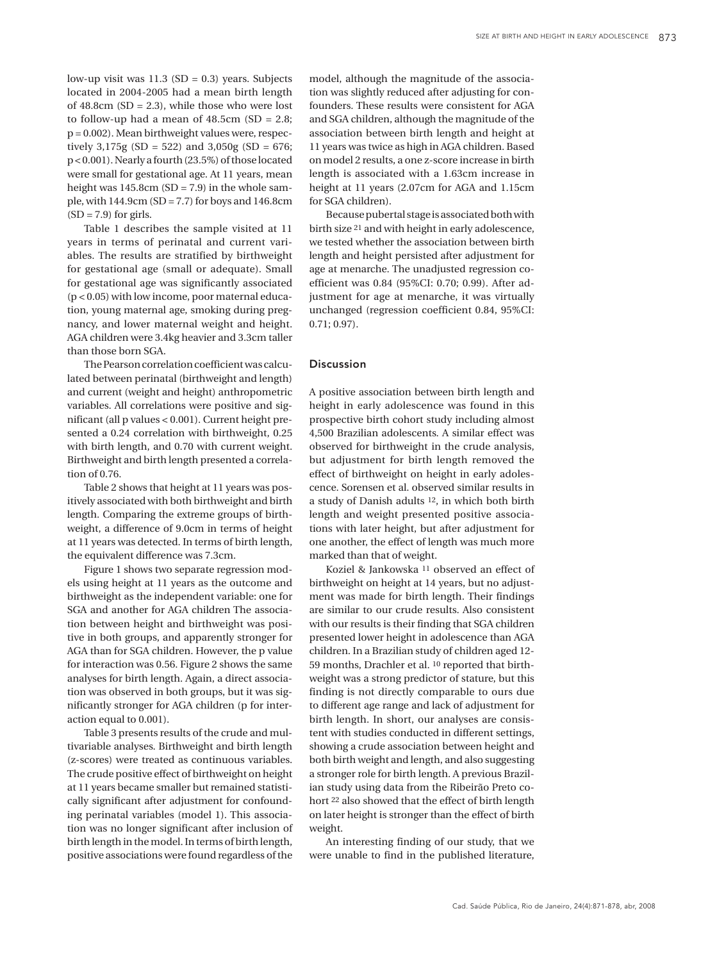low-up visit was  $11.3$  (SD = 0.3) years. Subjects located in 2004-2005 had a mean birth length of  $48.8$ cm (SD = 2.3), while those who were lost to follow-up had a mean of  $48.5cm$  (SD = 2.8; p = 0.002). Mean birthweight values were, respectively 3,175g (SD = 522) and 3,050g (SD = 676; p < 0.001). Nearly a fourth (23.5%) of those located were small for gestational age. At 11 years, mean height was  $145.8$ cm (SD = 7.9) in the whole sample, with  $144.9cm$  (SD = 7.7) for boys and  $146.8cm$  $(SD = 7.9)$  for girls.

Table 1 describes the sample visited at 11 years in terms of perinatal and current variables. The results are stratified by birthweight for gestational age (small or adequate). Small for gestational age was significantly associated (p < 0.05) with low income, poor maternal education, young maternal age, smoking during pregnancy, and lower maternal weight and height. AGA children were 3.4kg heavier and 3.3cm taller than those born SGA.

The Pearson correlation coefficient was calculated between perinatal (birthweight and length) and current (weight and height) anthropometric variables. All correlations were positive and significant (all p values < 0.001). Current height presented a 0.24 correlation with birthweight, 0.25 with birth length, and 0.70 with current weight. Birthweight and birth length presented a correlation of 0.76.

Table 2 shows that height at 11 years was positively associated with both birthweight and birth length. Comparing the extreme groups of birthweight, a difference of 9.0cm in terms of height at 11 years was detected. In terms of birth length, the equivalent difference was 7.3cm.

Figure 1 shows two separate regression models using height at 11 years as the outcome and birthweight as the independent variable: one for SGA and another for AGA children The association between height and birthweight was positive in both groups, and apparently stronger for AGA than for SGA children. However, the p value for interaction was 0.56. Figure 2 shows the same analyses for birth length. Again, a direct association was observed in both groups, but it was significantly stronger for AGA children (p for interaction equal to 0.001).

Table 3 presents results of the crude and multivariable analyses. Birthweight and birth length (z-scores) were treated as continuous variables. The crude positive effect of birthweight on height at 11 years became smaller but remained statistically significant after adjustment for confounding perinatal variables (model 1). This association was no longer significant after inclusion of birth length in the model. In terms of birth length, positive associations were found regardless of the model, although the magnitude of the association was slightly reduced after adjusting for confounders. These results were consistent for AGA and SGA children, although the magnitude of the association between birth length and height at 11 years was twice as high in AGA children. Based on model 2 results, a one z-score increase in birth length is associated with a 1.63cm increase in height at 11 years (2.07cm for AGA and 1.15cm for SGA children).

Because pubertal stage is associated both with birth size 21 and with height in early adolescence, we tested whether the association between birth length and height persisted after adjustment for age at menarche. The unadjusted regression coefficient was 0.84 (95%CI: 0.70; 0.99). After adjustment for age at menarche, it was virtually unchanged (regression coefficient 0.84, 95%CI: 0.71; 0.97).

#### Discussion

A positive association between birth length and height in early adolescence was found in this prospective birth cohort study including almost 4,500 Brazilian adolescents. A similar effect was observed for birthweight in the crude analysis, but adjustment for birth length removed the effect of birthweight on height in early adolescence. Sorensen et al. observed similar results in a study of Danish adults 12, in which both birth length and weight presented positive associations with later height, but after adjustment for one another, the effect of length was much more marked than that of weight.

Koziel & Jankowska 11 observed an effect of birthweight on height at 14 years, but no adjustment was made for birth length. Their findings are similar to our crude results. Also consistent with our results is their finding that SGA children presented lower height in adolescence than AGA children. In a Brazilian study of children aged 12- 59 months, Drachler et al. 10 reported that birthweight was a strong predictor of stature, but this finding is not directly comparable to ours due to different age range and lack of adjustment for birth length. In short, our analyses are consistent with studies conducted in different settings, showing a crude association between height and both birth weight and length, and also suggesting a stronger role for birth length. A previous Brazilian study using data from the Ribeirão Preto cohort 22 also showed that the effect of birth length on later height is stronger than the effect of birth weight.

An interesting finding of our study, that we were unable to find in the published literature,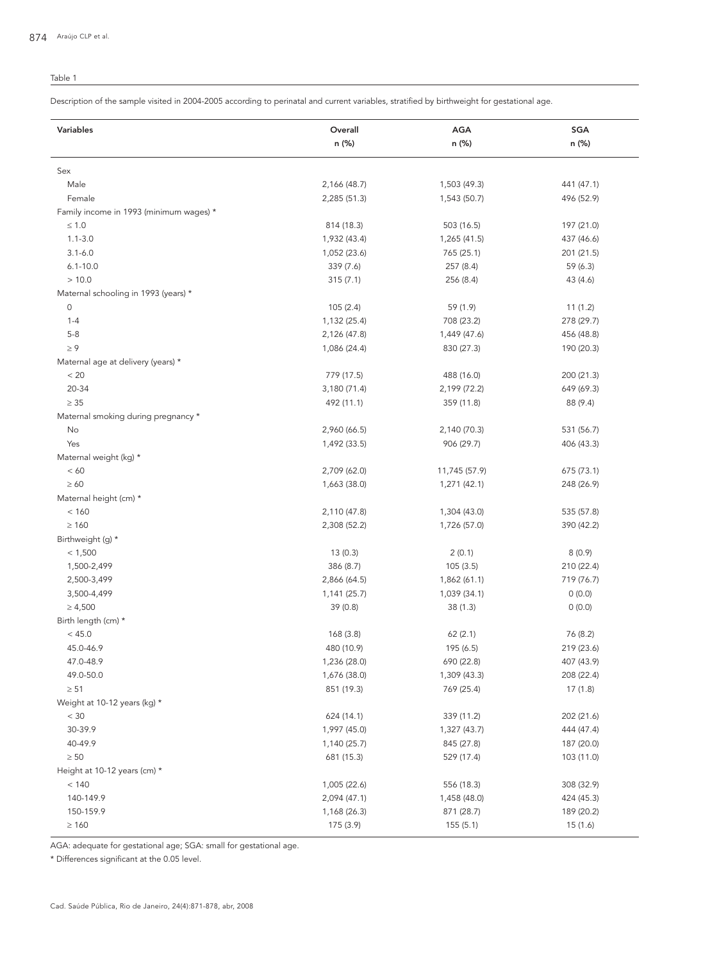# Table 1

Description of the sample visited in 2004-2005 according to perinatal and current variables, stratified by birthweight for gestational age.

| Variables                               | Overall      | AGA           | SGA        |
|-----------------------------------------|--------------|---------------|------------|
|                                         | n (%)        | n (%)         | n (%)      |
|                                         |              |               |            |
| Sex                                     |              |               |            |
| Male                                    | 2,166 (48.7) | 1,503 (49.3)  | 441 (47.1) |
| Female                                  | 2,285 (51.3) | 1,543 (50.7)  | 496 (52.9) |
| Family income in 1993 (minimum wages) * |              |               |            |
| $\leq 1.0$                              | 814 (18.3)   | 503 (16.5)    | 197 (21.0) |
| $1.1 - 3.0$                             | 1,932 (43.4) | 1,265 (41.5)  | 437 (46.6) |
| $3.1 - 6.0$                             | 1,052 (23.6) | 765 (25.1)    | 201 (21.5) |
| $6.1 - 10.0$                            | 339 (7.6)    | 257 (8.4)     | 59 (6.3)   |
| >10.0                                   | 315(7.1)     | 256 (8.4)     | 43 (4.6)   |
| Maternal schooling in 1993 (years) *    |              |               |            |
| $\mathsf{O}\xspace$                     | 105(2.4)     | 59 (1.9)      | 11(1.2)    |
| $1 - 4$                                 | 1,132 (25.4) | 708 (23.2)    | 278 (29.7) |
| $5 - 8$                                 | 2,126 (47.8) | 1,449 (47.6)  | 456 (48.8) |
| $\geq 9$                                | 1,086 (24.4) | 830 (27.3)    | 190 (20.3) |
| Maternal age at delivery (years) *      |              |               |            |
| < 20                                    | 779 (17.5)   | 488 (16.0)    | 200 (21.3) |
| 20-34                                   | 3,180 (71.4) | 2,199 (72.2)  | 649 (69.3) |
| $\geq 35$                               | 492 (11.1)   | 359 (11.8)    | 88 (9.4)   |
| Maternal smoking during pregnancy *     |              |               |            |
| No                                      | 2,960 (66.5) | 2,140 (70.3)  | 531 (56.7) |
| Yes                                     | 1,492 (33.5) | 906 (29.7)    | 406 (43.3) |
| Maternal weight (kg) *                  |              |               |            |
| < 60                                    | 2,709 (62.0) | 11,745 (57.9) | 675 (73.1) |
| $\geq 60$                               | 1,663 (38.0) | 1,271 (42.1)  | 248 (26.9) |
| Maternal height (cm) *                  |              |               |            |
| < 160                                   | 2,110 (47.8) | 1,304 (43.0)  | 535 (57.8) |
| $\geq 160$                              | 2,308 (52.2) | 1,726 (57.0)  | 390 (42.2) |
| Birthweight (g) *                       |              |               |            |
| < 1,500                                 | 13(0.3)      | 2(0.1)        | 8(0.9)     |
| 1,500-2,499                             | 386 (8.7)    | 105(3.5)      | 210 (22.4) |
| 2,500-3,499                             | 2,866 (64.5) | 1,862 (61.1)  | 719 (76.7) |
| 3,500-4,499                             | 1,141 (25.7) | 1,039 (34.1)  | 0(0.0)     |
| $\geq 4,500$                            | 39 (0.8)     | 38(1.3)       | 0(0.0)     |
| Birth length (cm) *                     |              |               |            |
| < 45.0                                  | 168(3.8)     | 62(2.1)       | 76 (8.2)   |
| 45.0-46.9                               | 480 (10.9)   | 195 (6.5)     | 219 (23.6) |
| 47.0-48.9                               | 1,236 (28.0) | 690 (22.8)    | 407 (43.9) |
| 49.0-50.0                               | 1,676 (38.0) | 1,309 (43.3)  | 208 (22.4) |
| $\geq 51$                               | 851 (19.3)   | 769 (25.4)    | 17(1.8)    |
| Weight at 10-12 years (kg) *            |              |               |            |
| < 30                                    | 624 (14.1)   | 339 (11.2)    | 202 (21.6) |
| 30-39.9                                 | 1,997 (45.0) | 1,327 (43.7)  | 444 (47.4) |
| 40-49.9                                 | 1,140 (25.7) | 845 (27.8)    | 187 (20.0) |
| $\geq 50$                               | 681 (15.3)   | 529 (17.4)    | 103 (11.0) |
| Height at 10-12 years (cm) *            |              |               |            |
| < 140                                   | 1,005 (22.6) | 556 (18.3)    | 308 (32.9) |
| 140-149.9                               | 2,094 (47.1) | 1,458 (48.0)  | 424 (45.3) |
| 150-159.9                               | 1,168 (26.3) | 871 (28.7)    | 189 (20.2) |
| $\geq 160$                              | 175 (3.9)    | 155(5.1)      | 15(1.6)    |
|                                         |              |               |            |

AGA: adequate for gestational age; SGA: small for gestational age.

\* Differences significant at the 0.05 level.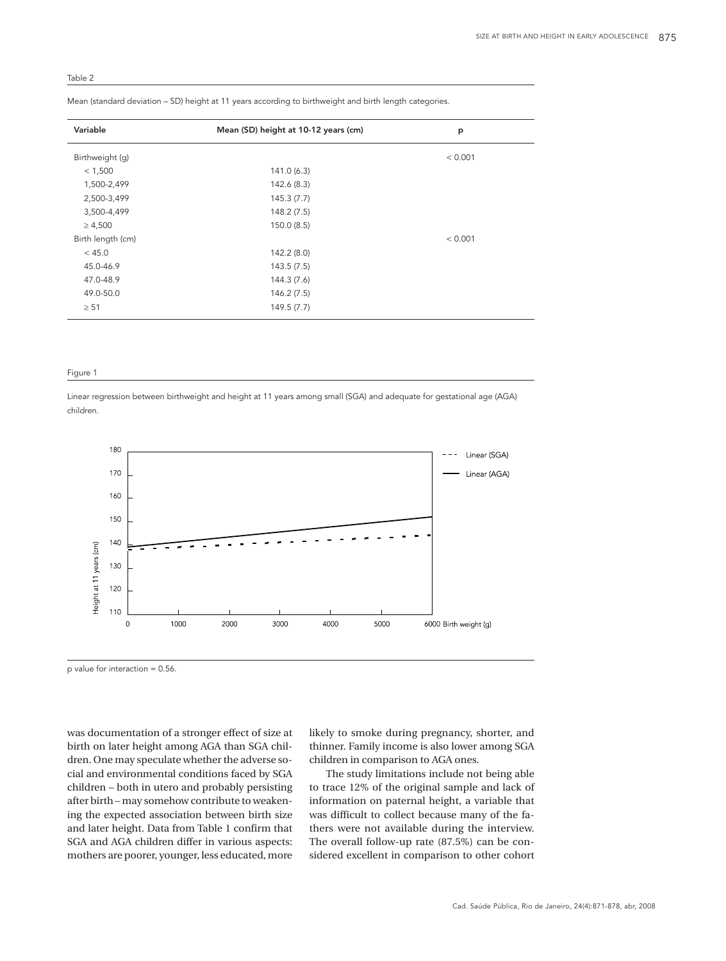Table 2

| Variable          | Mean (SD) height at 10-12 years (cm) | p       |
|-------------------|--------------------------------------|---------|
| Birthweight (q)   |                                      | < 0.001 |
| < 1,500           | 141.0(6.3)                           |         |
| 1,500-2,499       | 142.6 (8.3)                          |         |
| 2,500-3,499       | 145.3(7.7)                           |         |
| 3,500-4,499       | 148.2(7.5)                           |         |
| $\geq 4,500$      | 150.0(8.5)                           |         |
| Birth length (cm) |                                      | < 0.001 |
| < 45.0            | 142.2 (8.0)                          |         |
| 45.0-46.9         | 143.5(7.5)                           |         |
| 47.0-48.9         | 144.3 (7.6)                          |         |
| 49.0-50.0         | 146.2(7.5)                           |         |
| $\geq 51$         | 149.5(7.7)                           |         |

Mean (standard deviation – SD) height at 11 years according to birthweight and birth length categories.

#### Figure 1

Linear regression between birthweight and height at 11 years among small (SGA) and adequate for gestational age (AGA) children.



p value for interaction = 0.56.

was documentation of a stronger effect of size at birth on later height among AGA than SGA children. One may speculate whether the adverse social and environmental conditions faced by SGA children – both in utero and probably persisting after birth – may somehow contribute to weakening the expected association between birth size and later height. Data from Table 1 confirm that SGA and AGA children differ in various aspects: mothers are poorer, younger, less educated, more

likely to smoke during pregnancy, shorter, and thinner. Family income is also lower among SGA children in comparison to AGA ones.

The study limitations include not being able to trace 12% of the original sample and lack of information on paternal height, a variable that was difficult to collect because many of the fathers were not available during the interview. The overall follow-up rate (87.5%) can be considered excellent in comparison to other cohort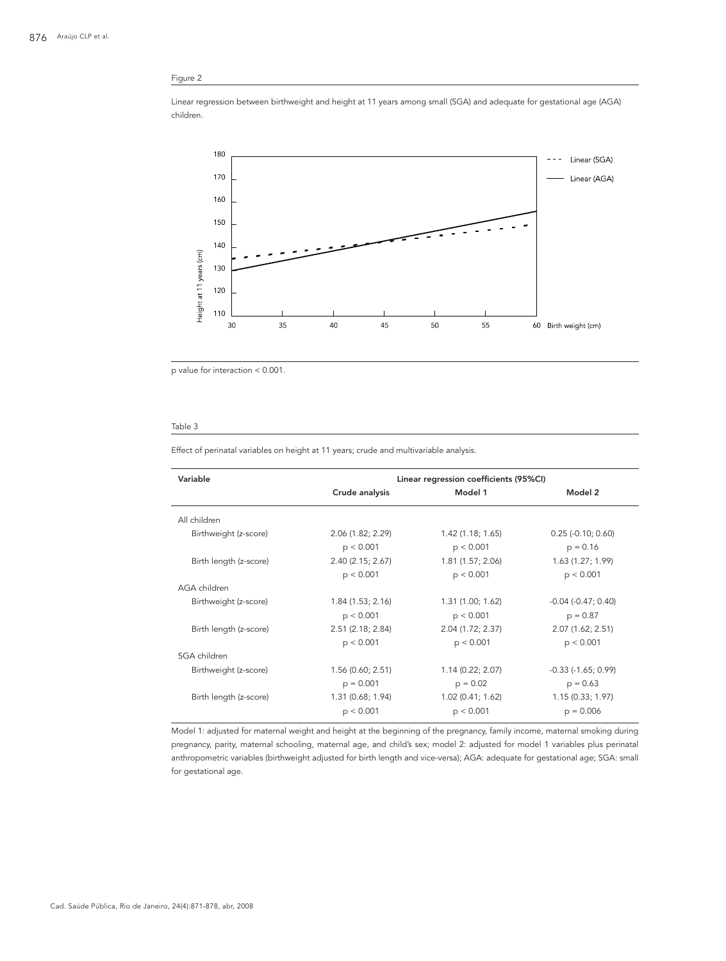# Figure 2

Linear regression between birthweight and height at 11 years among small (SGA) and adequate for gestational age (AGA) children.



p value for interaction < 0.001.

#### Table 3

Effect of perinatal variables on height at 11 years; crude and multivariable analysis.

| Variable               | Linear regression coefficients (95%CI) |                   |                           |  |
|------------------------|----------------------------------------|-------------------|---------------------------|--|
|                        | Crude analysis                         | Model 1           | Model 2                   |  |
| All children           |                                        |                   |                           |  |
| Birthweight (z-score)  | 2.06 (1.82; 2.29)                      | 1.42(1.18; 1.65)  | $0.25$ (-0.10; 0.60)      |  |
|                        | p < 0.001                              | p < 0.001         | $p = 0.16$                |  |
| Birth length (z-score) | 2.40(2.15; 2.67)                       | 1.81 (1.57; 2.06) | 1.63(1.27; 1.99)          |  |
|                        | p < 0.001                              | p < 0.001         | p < 0.001                 |  |
| AGA children           |                                        |                   |                           |  |
| Birthweight (z-score)  | 1.84(1.53; 2.16)                       | 1.31 (1.00; 1.62) | $-0.04$ $(-0.47; 0.40)$   |  |
|                        | p < 0.001                              | p < 0.001         | $p = 0.87$                |  |
| Birth length (z-score) | 2.51(2.18; 2.84)                       | 2.04 (1.72; 2.37) | 2.07 (1.62; 2.51)         |  |
|                        | p < 0.001                              | p < 0.001         | p < 0.001                 |  |
| SGA children           |                                        |                   |                           |  |
| Birthweight (z-score)  | 1.56(0.60; 2.51)                       | 1.14(0.22; 2.07)  | $-0.33$ ( $-1.65$ ; 0.99) |  |
|                        | $p = 0.001$                            | $p = 0.02$        | $p = 0.63$                |  |
| Birth length (z-score) | 1.31 (0.68; 1.94)                      | 1.02(0.41; 1.62)  | 1.15(0.33; 1.97)          |  |
|                        | p < 0.001                              | p < 0.001         | $p = 0.006$               |  |

Model 1: adjusted for maternal weight and height at the beginning of the pregnancy, family income, maternal smoking during pregnancy, parity, maternal schooling, maternal age, and child's sex; model 2: adjusted for model 1 variables plus perinatal anthropometric variables (birthweight adjusted for birth length and vice-versa); AGA: adequate for gestational age; SGA: small for gestational age.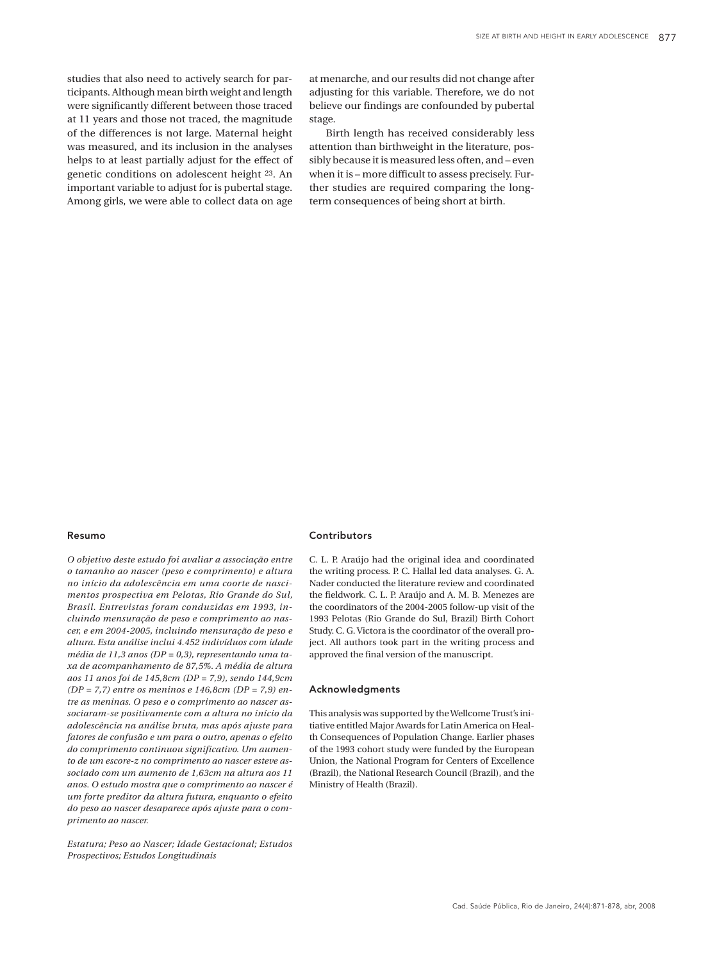studies that also need to actively search for participants. Although mean birth weight and length were significantly different between those traced at 11 years and those not traced, the magnitude of the differences is not large. Maternal height was measured, and its inclusion in the analyses helps to at least partially adjust for the effect of genetic conditions on adolescent height 23. An important variable to adjust for is pubertal stage. Among girls, we were able to collect data on age

at menarche, and our results did not change after adjusting for this variable. Therefore, we do not believe our findings are confounded by pubertal stage.

Birth length has received considerably less attention than birthweight in the literature, possibly because it is measured less often, and – even when it is – more difficult to assess precisely. Further studies are required comparing the longterm consequences of being short at birth.

#### Resumo

*O objetivo deste estudo foi avaliar a associação entre o tamanho ao nascer (peso e comprimento) e altura no início da adolescência em uma coorte de nascimentos prospectiva em Pelotas, Rio Grande do Sul, Brasil. Entrevistas foram conduzidas em 1993, incluindo mensuração de peso e comprimento ao nascer, e em 2004-2005, incluindo mensuração de peso e altura. Esta análise inclui 4.452 indivíduos com idade média de 11,3 anos (DP = 0,3), representando uma taxa de acompanhamento de 87,5%. A média de altura aos 11 anos foi de 145,8cm (DP = 7,9), sendo 144,9cm (DP = 7,7) entre os meninos e 146,8cm (DP = 7,9) entre as meninas. O peso e o comprimento ao nascer associaram-se positivamente com a altura no início da adolescência na análise bruta, mas após ajuste para fatores de confusão e um para o outro, apenas o efeito do comprimento continuou significativo. Um aumento de um escore-z no comprimento ao nascer esteve associado com um aumento de 1,63cm na altura aos 11 anos. O estudo mostra que o comprimento ao nascer é um forte preditor da altura futura, enquanto o efeito do peso ao nascer desaparece após ajuste para o comprimento ao nascer.*

*Estatura; Peso ao Nascer; Idade Gestacional; Estudos Prospectivos; Estudos Longitudinais*

### **Contributors**

C. L. P. Araújo had the original idea and coordinated the writing process. P. C. Hallal led data analyses. G. A. Nader conducted the literature review and coordinated the fieldwork. C. L. P. Araújo and A. M. B. Menezes are the coordinators of the 2004-2005 follow-up visit of the 1993 Pelotas (Rio Grande do Sul, Brazil) Birth Cohort Study. C. G. Victora is the coordinator of the overall project. All authors took part in the writing process and approved the final version of the manuscript.

#### Acknowledgments

This analysis was supported by the Wellcome Trust's initiative entitled Major Awards for Latin America on Health Consequences of Population Change. Earlier phases of the 1993 cohort study were funded by the European Union, the National Program for Centers of Excellence (Brazil), the National Research Council (Brazil), and the Ministry of Health (Brazil).